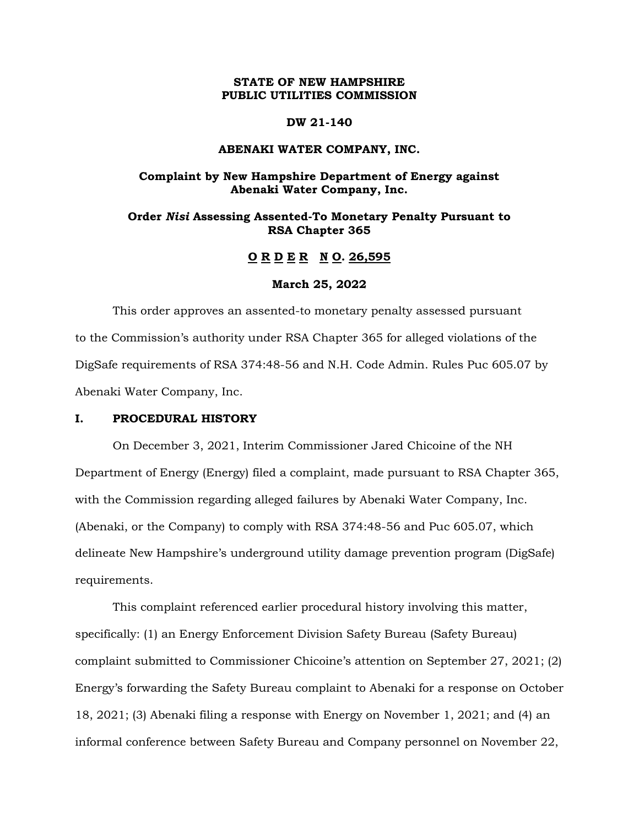## **STATE OF NEW HAMPSHIRE PUBLIC UTILITIES COMMISSION**

#### **DW 21-140**

#### **ABENAKI WATER COMPANY, INC.**

# **Complaint by New Hampshire Department of Energy against Abenaki Water Company, Inc.**

## **Order** *Nisi* **Assessing Assented-To Monetary Penalty Pursuant to RSA Chapter 365**

# **O R D E R N O. 26,595**

#### **March 25, 2022**

This order approves an assented-to monetary penalty assessed pursuant to the Commission's authority under RSA Chapter 365 for alleged violations of the DigSafe requirements of RSA 374:48-56 and N.H. Code Admin. Rules Puc 605.07 by Abenaki Water Company, Inc.

#### **I. PROCEDURAL HISTORY**

On December 3, 2021, Interim Commissioner Jared Chicoine of the NH Department of Energy (Energy) filed a complaint, made pursuant to RSA Chapter 365, with the Commission regarding alleged failures by Abenaki Water Company, Inc. (Abenaki, or the Company) to comply with RSA 374:48-56 and Puc 605.07, which delineate New Hampshire's underground utility damage prevention program (DigSafe) requirements.

This complaint referenced earlier procedural history involving this matter, specifically: (1) an Energy Enforcement Division Safety Bureau (Safety Bureau) complaint submitted to Commissioner Chicoine's attention on September 27, 2021; (2) Energy's forwarding the Safety Bureau complaint to Abenaki for a response on October 18, 2021; (3) Abenaki filing a response with Energy on November 1, 2021; and (4) an informal conference between Safety Bureau and Company personnel on November 22,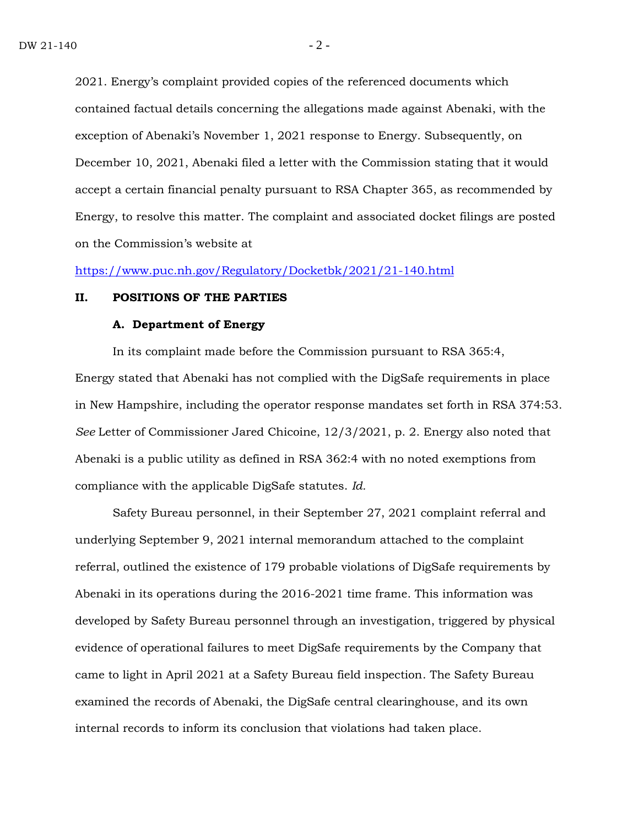2021. Energy's complaint provided copies of the referenced documents which contained factual details concerning the allegations made against Abenaki, with the exception of Abenaki's November 1, 2021 response to Energy. Subsequently, on December 10, 2021, Abenaki filed a letter with the Commission stating that it would accept a certain financial penalty pursuant to RSA Chapter 365, as recommended by Energy, to resolve this matter. The complaint and associated docket filings are posted on the Commission's website at

<https://www.puc.nh.gov/Regulatory/Docketbk/2021/21-140.html>

#### **II. POSITIONS OF THE PARTIES**

#### **A. Department of Energy**

In its complaint made before the Commission pursuant to RSA 365:4, Energy stated that Abenaki has not complied with the DigSafe requirements in place in New Hampshire, including the operator response mandates set forth in RSA 374:53. *See* Letter of Commissioner Jared Chicoine, 12/3/2021, p. 2. Energy also noted that Abenaki is a public utility as defined in RSA 362:4 with no noted exemptions from compliance with the applicable DigSafe statutes. *Id.*

Safety Bureau personnel, in their September 27, 2021 complaint referral and underlying September 9, 2021 internal memorandum attached to the complaint referral, outlined the existence of 179 probable violations of DigSafe requirements by Abenaki in its operations during the 2016-2021 time frame. This information was developed by Safety Bureau personnel through an investigation, triggered by physical evidence of operational failures to meet DigSafe requirements by the Company that came to light in April 2021 at a Safety Bureau field inspection. The Safety Bureau examined the records of Abenaki, the DigSafe central clearinghouse, and its own internal records to inform its conclusion that violations had taken place.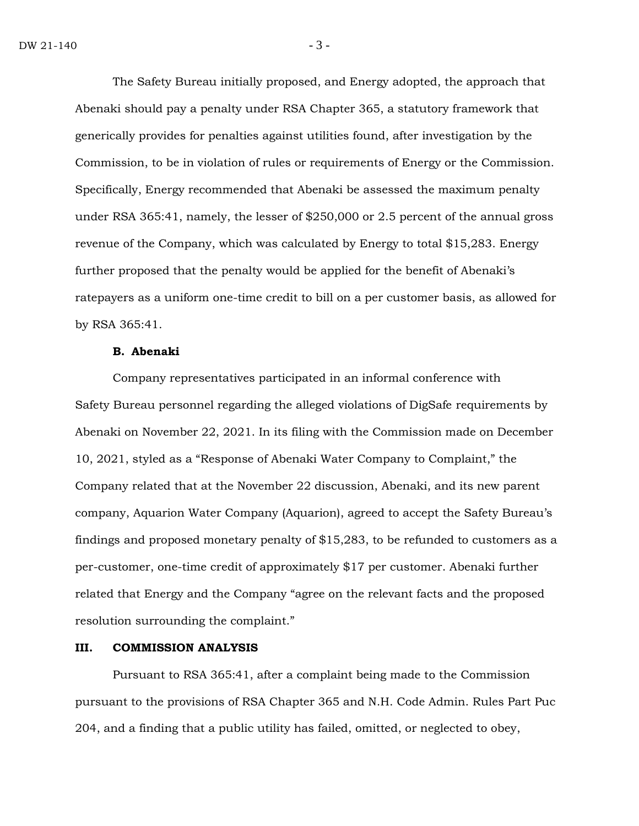The Safety Bureau initially proposed, and Energy adopted, the approach that Abenaki should pay a penalty under RSA Chapter 365, a statutory framework that generically provides for penalties against utilities found, after investigation by the Commission, to be in violation of rules or requirements of Energy or the Commission. Specifically, Energy recommended that Abenaki be assessed the maximum penalty under RSA 365:41, namely, the lesser of \$250,000 or 2.5 percent of the annual gross revenue of the Company, which was calculated by Energy to total \$15,283. Energy further proposed that the penalty would be applied for the benefit of Abenaki's ratepayers as a uniform one-time credit to bill on a per customer basis, as allowed for by RSA 365:41.

#### **B. Abenaki**

Company representatives participated in an informal conference with Safety Bureau personnel regarding the alleged violations of DigSafe requirements by Abenaki on November 22, 2021. In its filing with the Commission made on December 10, 2021, styled as a "Response of Abenaki Water Company to Complaint," the Company related that at the November 22 discussion, Abenaki, and its new parent company, Aquarion Water Company (Aquarion), agreed to accept the Safety Bureau's findings and proposed monetary penalty of \$15,283, to be refunded to customers as a per-customer, one-time credit of approximately \$17 per customer. Abenaki further related that Energy and the Company "agree on the relevant facts and the proposed resolution surrounding the complaint."

### **III. COMMISSION ANALYSIS**

Pursuant to RSA 365:41, after a complaint being made to the Commission pursuant to the provisions of RSA Chapter 365 and N.H. Code Admin. Rules Part Puc 204, and a finding that a public utility has failed, omitted, or neglected to obey,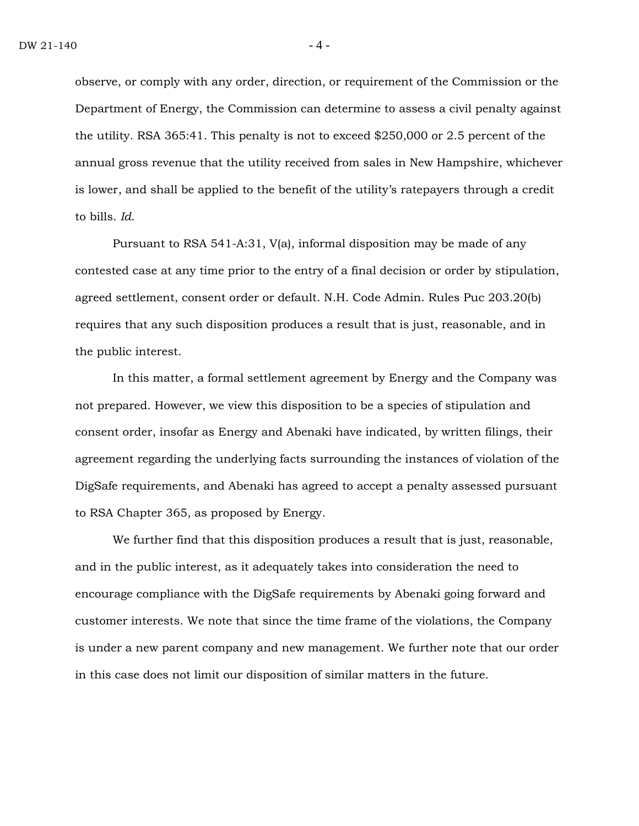observe, or comply with any order, direction, or requirement of the Commission or the Department of Energy, the Commission can determine to assess a civil penalty against the utility. RSA 365:41. This penalty is not to exceed \$250,000 or 2.5 percent of the annual gross revenue that the utility received from sales in New Hampshire, whichever is lower, and shall be applied to the benefit of the utility's ratepayers through a credit to bills. *Id*.

Pursuant to RSA 541-A:31, V(a), informal disposition may be made of any contested case at any time prior to the entry of a final decision or order by stipulation, agreed settlement, consent order or default. N.H. Code Admin. Rules Puc 203.20(b) requires that any such disposition produces a result that is just, reasonable, and in the public interest.

In this matter, a formal settlement agreement by Energy and the Company was not prepared. However, we view this disposition to be a species of stipulation and consent order, insofar as Energy and Abenaki have indicated, by written filings, their agreement regarding the underlying facts surrounding the instances of violation of the DigSafe requirements, and Abenaki has agreed to accept a penalty assessed pursuant to RSA Chapter 365, as proposed by Energy.

We further find that this disposition produces a result that is just, reasonable, and in the public interest, as it adequately takes into consideration the need to encourage compliance with the DigSafe requirements by Abenaki going forward and customer interests. We note that since the time frame of the violations, the Company is under a new parent company and new management. We further note that our order in this case does not limit our disposition of similar matters in the future.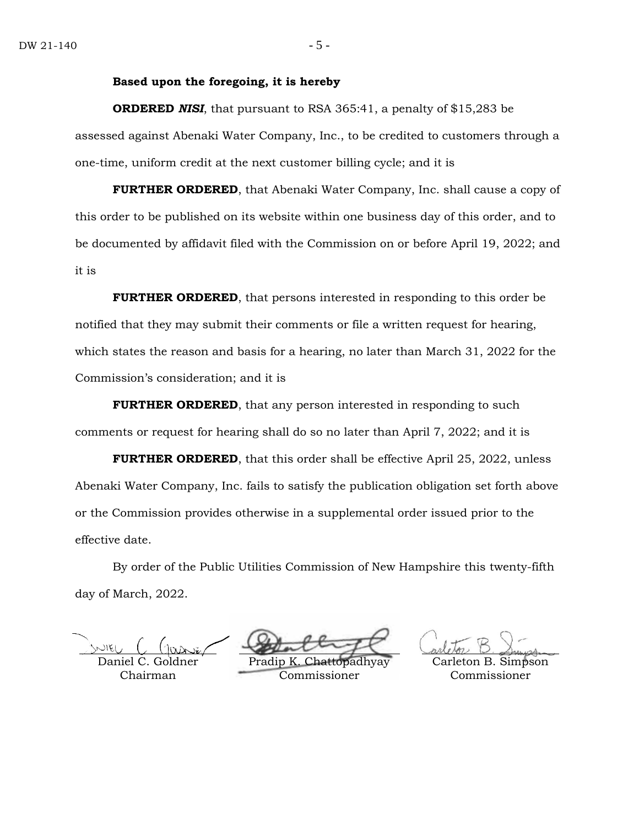#### **Based upon the foregoing, it is hereby**

**ORDERED** *NISI*, that pursuant to RSA 365:41, a penalty of \$15,283 be assessed against Abenaki Water Company, Inc., to be credited to customers through a one-time, uniform credit at the next customer billing cycle; and it is

**FURTHER ORDERED**, that Abenaki Water Company, Inc. shall cause a copy of this order to be published on its website within one business day of this order, and to be documented by affidavit filed with the Commission on or before April 19, 2022; and it is

**FURTHER ORDERED**, that persons interested in responding to this order be notified that they may submit their comments or file a written request for hearing, which states the reason and basis for a hearing, no later than March 31, 2022 for the Commission's consideration; and it is

**FURTHER ORDERED**, that any person interested in responding to such comments or request for hearing shall do so no later than April 7, 2022; and it is

**FURTHER ORDERED**, that this order shall be effective April 25, 2022, unless Abenaki Water Company, Inc. fails to satisfy the publication obligation set forth above or the Commission provides otherwise in a supplemental order issued prior to the effective date.

By order of the Public Utilities Commission of New Hampshire this twenty-fifth day of March, 2022.

Daniel C. Chairman

Pradip Commissioner

Simpson Commissioner